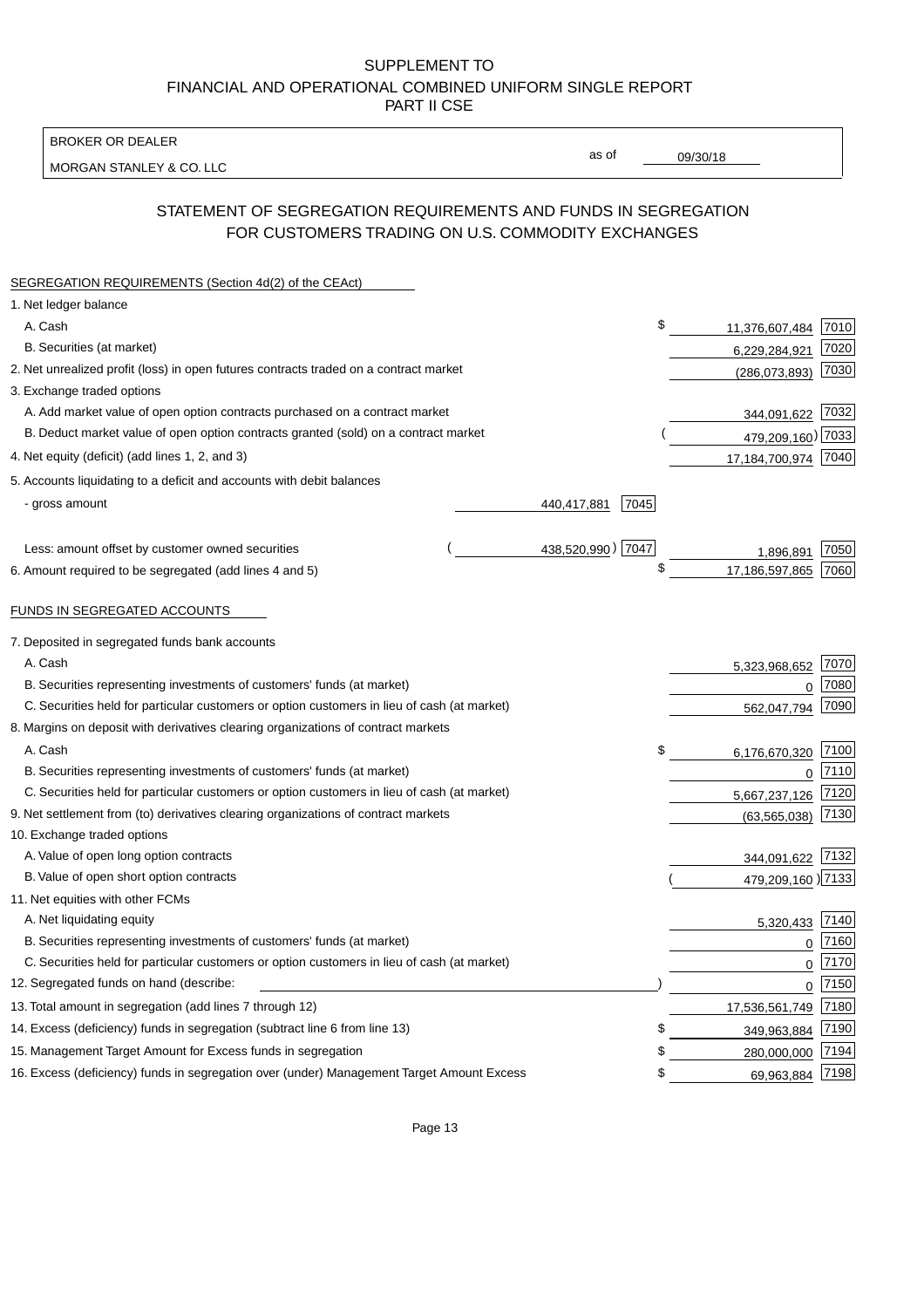### SUPPLEMENT TO FINANCIAL AND OPERATIONAL COMBINED UNIFORM SINGLE REPORT PART II CSE

BROKER OR DEALER

MORGAN STANLEY & CO. LLC

09/30/18

as of

# STATEMENT OF SEGREGATION REQUIREMENTS AND FUNDS IN SEGREGATION FOR CUSTOMERS TRADING ON U.S. COMMODITY EXCHANGES

| SEGREGATION REQUIREMENTS (Section 4d(2) of the CEAct)                                       |  |                     |                   |      |
|---------------------------------------------------------------------------------------------|--|---------------------|-------------------|------|
| 1. Net ledger balance                                                                       |  |                     |                   |      |
| A. Cash                                                                                     |  | \$                  | 11,376,607,484    | 7010 |
| B. Securities (at market)                                                                   |  |                     | 6,229,284,921     | 7020 |
| 2. Net unrealized profit (loss) in open futures contracts traded on a contract market       |  |                     | (286,073,893)     | 7030 |
| 3. Exchange traded options                                                                  |  |                     |                   |      |
| A. Add market value of open option contracts purchased on a contract market                 |  |                     | 344,091,622       | 7032 |
| B. Deduct market value of open option contracts granted (sold) on a contract market         |  |                     | 479,209,160) 7033 |      |
| 4. Net equity (deficit) (add lines 1, 2, and 3)                                             |  |                     | 17,184,700,974    | 7040 |
| 5. Accounts liquidating to a deficit and accounts with debit balances                       |  |                     |                   |      |
| - gross amount                                                                              |  | 440,417,881<br>7045 |                   |      |
|                                                                                             |  |                     |                   |      |
| Less: amount offset by customer owned securities                                            |  | 438,520,990) 7047   | 1,896,891         | 7050 |
| 6. Amount required to be segregated (add lines 4 and 5)                                     |  | \$                  | 17,186,597,865    | 7060 |
|                                                                                             |  |                     |                   |      |
| FUNDS IN SEGREGATED ACCOUNTS                                                                |  |                     |                   |      |
| 7. Deposited in segregated funds bank accounts                                              |  |                     |                   |      |
| A. Cash                                                                                     |  |                     | 5,323,968,652     | 7070 |
| B. Securities representing investments of customers' funds (at market)                      |  |                     | $\Omega$          | 7080 |
| C. Securities held for particular customers or option customers in lieu of cash (at market) |  |                     | 562,047,794       | 7090 |
| 8. Margins on deposit with derivatives clearing organizations of contract markets           |  |                     |                   |      |
| A. Cash                                                                                     |  | \$                  | 6,176,670,320     | 7100 |
| B. Securities representing investments of customers' funds (at market)                      |  |                     | $\mathbf 0$       | 7110 |
| C. Securities held for particular customers or option customers in lieu of cash (at market) |  |                     | 5,667,237,126     | 7120 |
| 9. Net settlement from (to) derivatives clearing organizations of contract markets          |  |                     | (63, 565, 038)    | 7130 |
| 10. Exchange traded options                                                                 |  |                     |                   |      |
| A. Value of open long option contracts                                                      |  |                     | 344,091,622       | 7132 |
| B. Value of open short option contracts                                                     |  |                     | 479,209,160 2133  |      |
| 11. Net equities with other FCMs                                                            |  |                     |                   |      |
| A. Net liquidating equity                                                                   |  |                     | 5,320,433         | 7140 |
| B. Securities representing investments of customers' funds (at market)                      |  |                     | $\Omega$          | 7160 |
| C. Securities held for particular customers or option customers in lieu of cash (at market) |  |                     | $\mathbf 0$       | 7170 |
| 12. Segregated funds on hand (describe:                                                     |  |                     | $\mathbf 0$       | 7150 |
| 13. Total amount in segregation (add lines 7 through 12)                                    |  |                     | 17,536,561,749    | 7180 |
| 14. Excess (deficiency) funds in segregation (subtract line 6 from line 13)                 |  | S                   | 349,963,884       | 7190 |
| 15. Management Target Amount for Excess funds in segregation                                |  | \$                  | 280,000,000       | 7194 |
| 16. Excess (deficiency) funds in segregation over (under) Management Target Amount Excess   |  | \$                  | 69,963,884        | 7198 |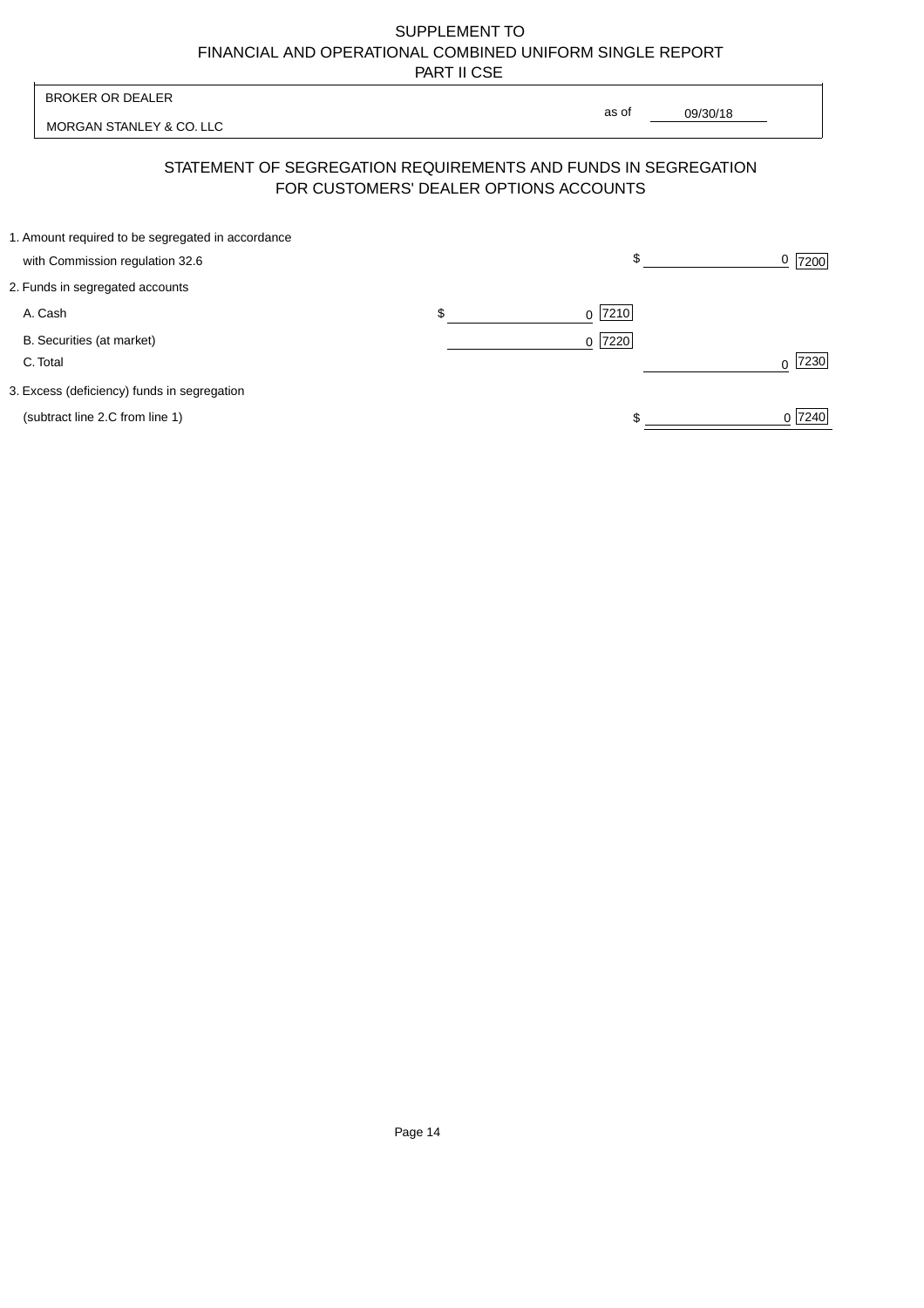## SUPPLEMENT TO FINANCIAL AND OPERATIONAL COMBINED UNIFORM SINGLE REPORT PART II CSE

|                                                                                                          | <b>BROKER OR DEALER</b>                                                              |    | as of                |          |                  |
|----------------------------------------------------------------------------------------------------------|--------------------------------------------------------------------------------------|----|----------------------|----------|------------------|
|                                                                                                          | MORGAN STANLEY & CO. LLC                                                             |    |                      | 09/30/18 |                  |
| STATEMENT OF SEGREGATION REQUIREMENTS AND FUNDS IN SEGREGATION<br>FOR CUSTOMERS' DEALER OPTIONS ACCOUNTS |                                                                                      |    |                      |          |                  |
|                                                                                                          | 1. Amount required to be segregated in accordance<br>with Commission regulation 32.6 |    |                      | \$       | 0<br>7200        |
|                                                                                                          | 2. Funds in segregated accounts                                                      |    |                      |          |                  |
|                                                                                                          | A. Cash                                                                              | \$ | 7210<br><sup>0</sup> |          |                  |
|                                                                                                          | B. Securities (at market)<br>C. Total                                                |    | $0$  7220            |          | 7230<br>$\Omega$ |
|                                                                                                          | 3. Excess (deficiency) funds in segregation                                          |    |                      |          |                  |
|                                                                                                          | (subtract line 2.C from line 1)                                                      |    |                      |          | 0 7240           |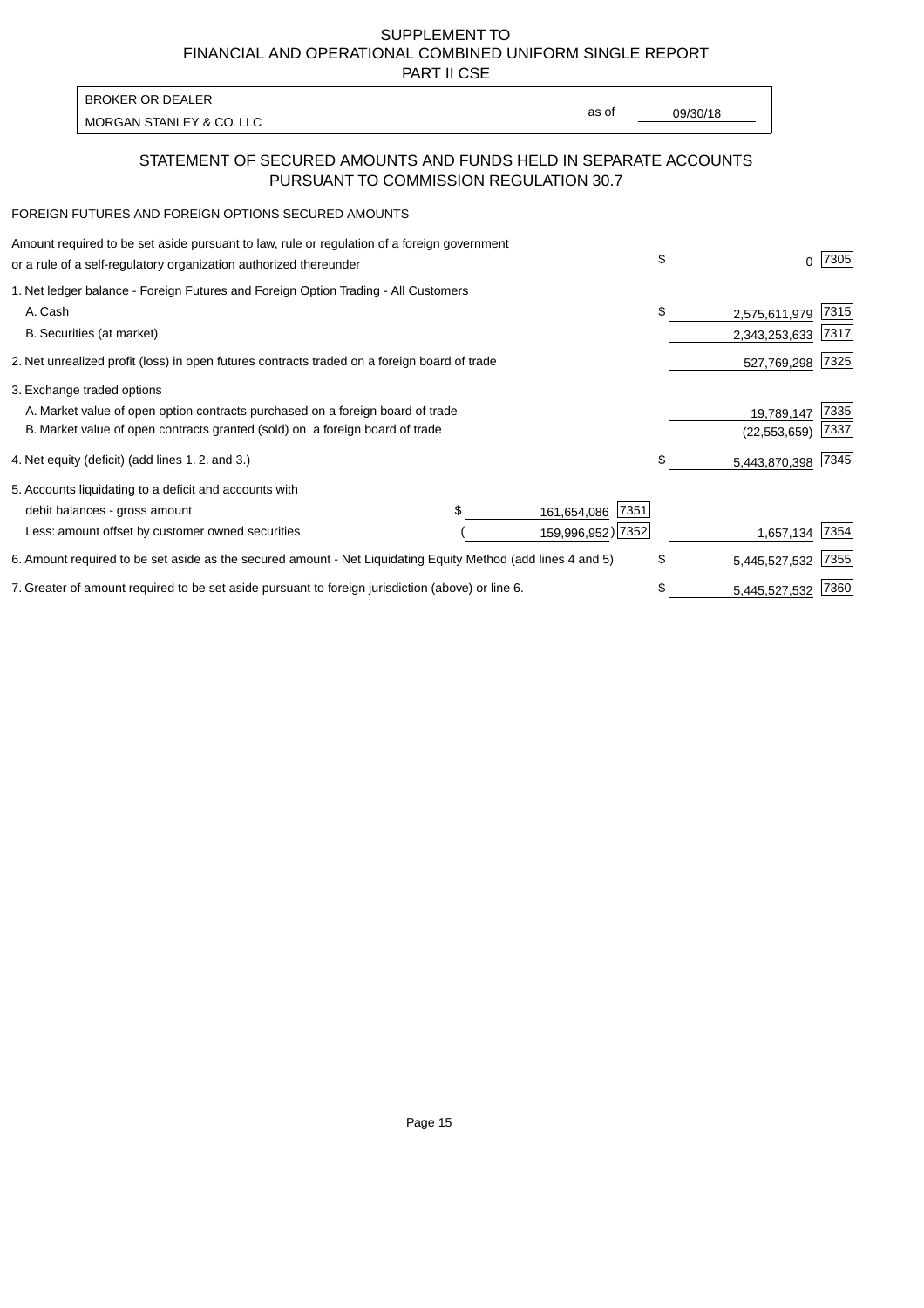SUPPLEMENT TO FINANCIAL AND OPERATIONAL COMBINED UNIFORM SINGLE REPORT

PART II CSE

| BROKER OR DEALER         |       |          |
|--------------------------|-------|----------|
| MORGAN STANLEY & CO. LLC | as of | 09/30/18 |
|                          |       |          |

### STATEMENT OF SECURED AMOUNTS AND FUNDS HELD IN SEPARATE ACCOUNTS PURSUANT TO COMMISSION REGULATION 30.7

#### FOREIGN FUTURES AND FOREIGN OPTIONS SECURED AMOUNTS

| Amount required to be set aside pursuant to law, rule or regulation of a foreign government<br>or a rule of a self-regulatory organization authorized thereunder |  |                     | \$<br>O.            | 7305 |
|------------------------------------------------------------------------------------------------------------------------------------------------------------------|--|---------------------|---------------------|------|
| 1. Net ledger balance - Foreign Futures and Foreign Option Trading - All Customers                                                                               |  |                     |                     |      |
| A. Cash                                                                                                                                                          |  |                     | \$<br>2,575,611,979 | 7315 |
| B. Securities (at market)                                                                                                                                        |  |                     | 2,343,253,633       | 7317 |
| 2. Net unrealized profit (loss) in open futures contracts traded on a foreign board of trade                                                                     |  |                     | 527,769,298         | 7325 |
| 3. Exchange traded options                                                                                                                                       |  |                     |                     |      |
| A. Market value of open option contracts purchased on a foreign board of trade                                                                                   |  |                     | 19,789,147          | 7335 |
| B. Market value of open contracts granted (sold) on a foreign board of trade                                                                                     |  |                     | (22, 553, 659)      | 7337 |
| 4. Net equity (deficit) (add lines 1.2. and 3.)                                                                                                                  |  |                     | \$<br>5,443,870,398 | 7345 |
| 5. Accounts liquidating to a deficit and accounts with                                                                                                           |  |                     |                     |      |
| debit balances - gross amount                                                                                                                                    |  | 7351<br>161,654,086 |                     |      |
| Less: amount offset by customer owned securities                                                                                                                 |  | 159,996,952) 7352   | 1,657,134           | 7354 |
| 6. Amount required to be set aside as the secured amount - Net Liquidating Equity Method (add lines 4 and 5)                                                     |  |                     | \$<br>5,445,527,532 | 7355 |
| 7. Greater of amount required to be set aside pursuant to foreign jurisdiction (above) or line 6.                                                                |  |                     | \$<br>5,445,527,532 | 7360 |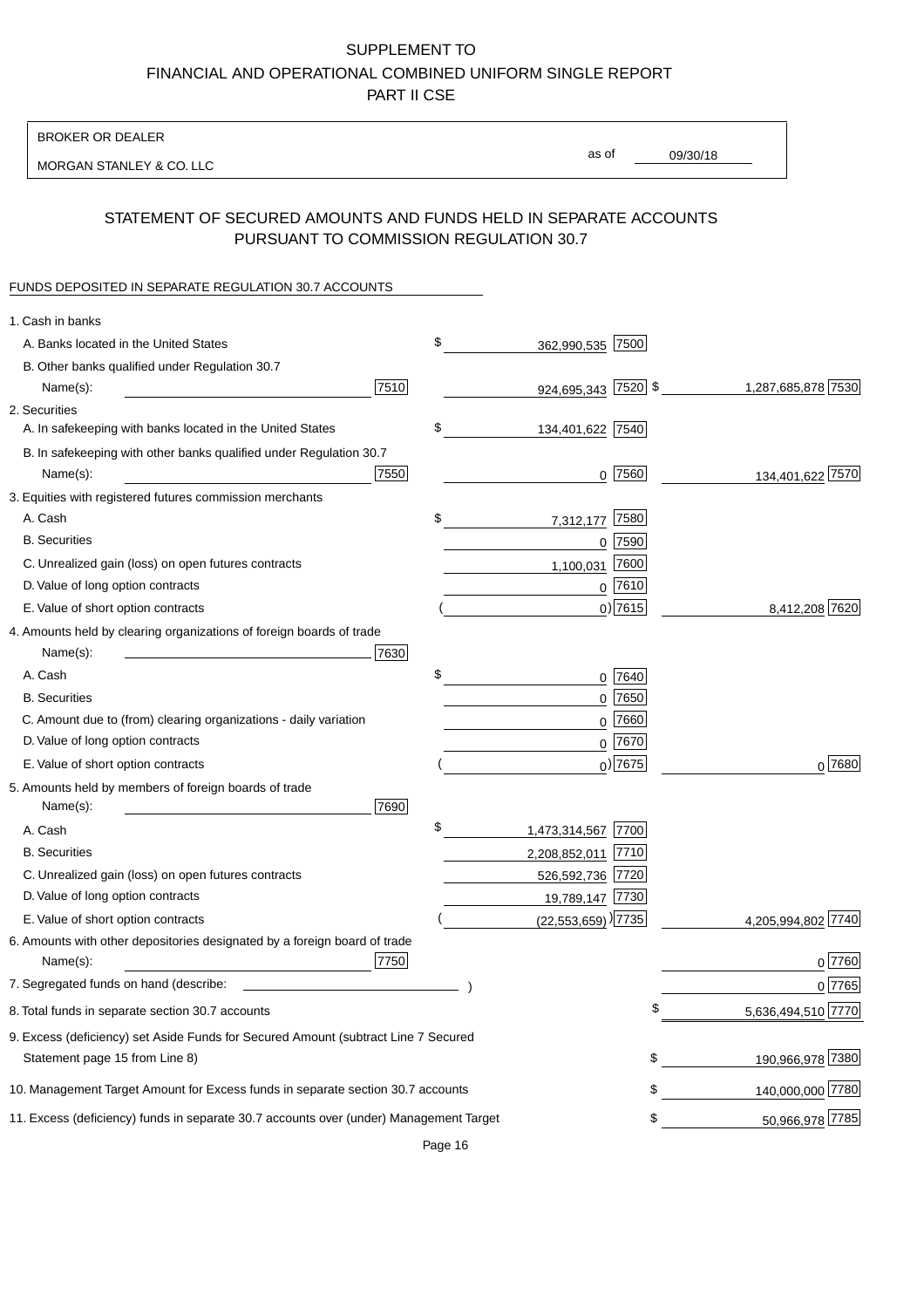# SUPPLEMENT TO FINANCIAL AND OPERATIONAL COMBINED UNIFORM SINGLE REPORT PART II CSE

BROKER OR DEALER

MORGAN STANLEY & CO. LLC

09/30/18 as of

## STATEMENT OF SECURED AMOUNTS AND FUNDS HELD IN SEPARATE ACCOUNTS PURSUANT TO COMMISSION REGULATION 30.7

### FUNDS DEPOSITED IN SEPARATE REGULATION 30.7 ACCOUNTS

| 1. Cash in banks                                                                       |      |                                    |             |                    |
|----------------------------------------------------------------------------------------|------|------------------------------------|-------------|--------------------|
| A. Banks located in the United States                                                  | \$   | 362,990,535 7500                   |             |                    |
| B. Other banks qualified under Regulation 30.7                                         |      |                                    |             |                    |
| Name(s):                                                                               | 7510 | 924,695,343 7520 \$                |             | 1,287,685,878 7530 |
| 2. Securities                                                                          |      |                                    |             |                    |
| A. In safekeeping with banks located in the United States                              | \$   | 134,401,622 7540                   |             |                    |
| B. In safekeeping with other banks qualified under Regulation 30.7                     |      |                                    |             |                    |
| Name(s):                                                                               | 7550 |                                    | $0$  7560   | 134,401,622 7570   |
| 3. Equities with registered futures commission merchants                               |      |                                    |             |                    |
| A. Cash                                                                                | \$   | 7,312,177                          | 7580        |                    |
| <b>B.</b> Securities                                                                   |      |                                    | $0$ 7590    |                    |
| C. Unrealized gain (loss) on open futures contracts                                    |      | 1,100,031                          | 7600        |                    |
| D. Value of long option contracts                                                      |      |                                    | $0$ 7610    |                    |
| E. Value of short option contracts                                                     |      |                                    | $0$ ) 7615  | 8,412,208 7620     |
| 4. Amounts held by clearing organizations of foreign boards of trade                   |      |                                    |             |                    |
| Name(s):<br>the control of the control of the control of the control of                | 7630 |                                    |             |                    |
| A. Cash                                                                                | \$   |                                    | 0 7640      |                    |
| <b>B.</b> Securities                                                                   |      |                                    | $0$ 7650    |                    |
| C. Amount due to (from) clearing organizations - daily variation                       |      |                                    | 0 7660      |                    |
| D. Value of long option contracts                                                      |      |                                    | $0$ 7670    |                    |
| E. Value of short option contracts                                                     |      |                                    | $_0$ ) 7675 | $0^{7680}$         |
| 5. Amounts held by members of foreign boards of trade                                  |      |                                    |             |                    |
| Name(s):                                                                               | 7690 |                                    |             |                    |
| A. Cash                                                                                | \$   | 1,473,314,567 7700                 |             |                    |
| <b>B.</b> Securities                                                                   |      | 2,208,852,011 7710                 |             |                    |
| C. Unrealized gain (loss) on open futures contracts                                    |      | 526,592,736 7720                   |             |                    |
| D. Value of long option contracts                                                      |      | 19,789,147 7730                    |             |                    |
| E. Value of short option contracts                                                     |      | $(22,553,659)$ <sup>)</sup> [7735] |             | 4,205,994,802 7740 |
| 6. Amounts with other depositories designated by a foreign board of trade              |      |                                    |             |                    |
| Name(s):                                                                               | 7750 |                                    |             | 0 7760             |
| 7. Segregated funds on hand (describe:                                                 |      |                                    |             | 0 7765             |
| 8. Total funds in separate section 30.7 accounts                                       |      |                                    | ¢           | 5,636,494,510 7770 |
| 9. Excess (deficiency) set Aside Funds for Secured Amount (subtract Line 7 Secured     |      |                                    |             |                    |
| Statement page 15 from Line 8)                                                         |      |                                    | \$          | 190,966,978 7380   |
| 10. Management Target Amount for Excess funds in separate section 30.7 accounts        |      |                                    | \$          | 140,000,000 7780   |
| 11. Excess (deficiency) funds in separate 30.7 accounts over (under) Management Target |      |                                    | \$          | 50,966,978 7785    |
|                                                                                        |      |                                    |             |                    |